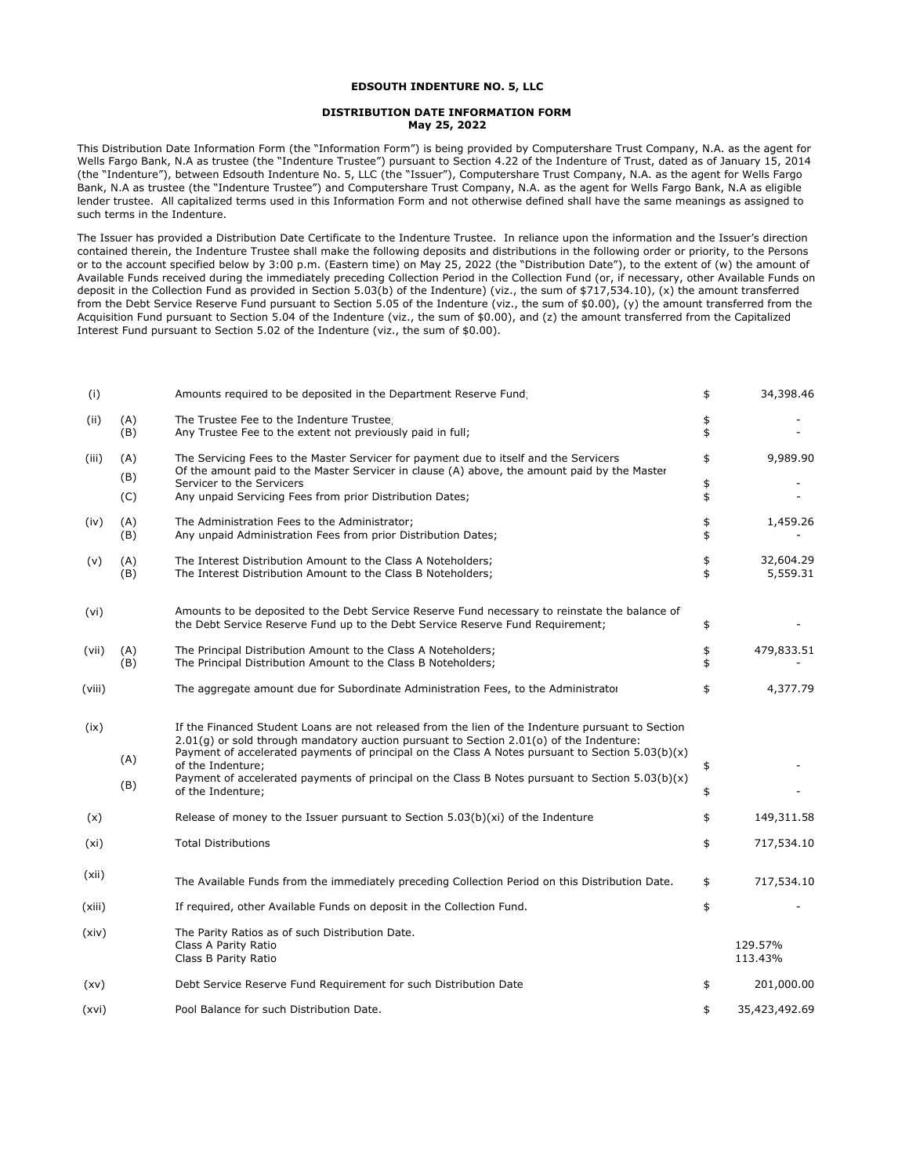## **EDSOUTH INDENTURE NO. 5, LLC**

## **DISTRIBUTION DATE INFORMATION FORM May 25, 2022**

This Distribution Date Information Form (the "Information Form") is being provided by Computershare Trust Company, N.A. as the agent for Wells Fargo Bank, N.A as trustee (the "Indenture Trustee") pursuant to Section 4.22 of the Indenture of Trust, dated as of January 15, 2014 (the "Indenture"), between Edsouth Indenture No. 5, LLC (the "Issuer"), Computershare Trust Company, N.A. as the agent for Wells Fargo Bank, N.A as trustee (the "Indenture Trustee") and Computershare Trust Company, N.A. as the agent for Wells Fargo Bank, N.A as eligible lender trustee. All capitalized terms used in this Information Form and not otherwise defined shall have the same meanings as assigned to such terms in the Indenture.

The Issuer has provided a Distribution Date Certificate to the Indenture Trustee. In reliance upon the information and the Issuer's direction contained therein, the Indenture Trustee shall make the following deposits and distributions in the following order or priority, to the Persons or to the account specified below by 3:00 p.m. (Eastern time) on May 25, 2022 (the "Distribution Date"), to the extent of (w) the amount of Available Funds received during the immediately preceding Collection Period in the Collection Fund (or, if necessary, other Available Funds on deposit in the Collection Fund as provided in Section 5.03(b) of the Indenture) (viz., the sum of \$717,534.10), (x) the amount transferred from the Debt Service Reserve Fund pursuant to Section 5.05 of the Indenture (viz., the sum of \$0.00), (y) the amount transferred from the Acquisition Fund pursuant to Section 5.04 of the Indenture (viz., the sum of \$0.00), and (z) the amount transferred from the Capitalized Interest Fund pursuant to Section 5.02 of the Indenture (viz., the sum of \$0.00).

| (i)    |            | Amounts required to be deposited in the Department Reserve Fund                                                                                                                                                                                                                                      | \$       | 34,398.46             |
|--------|------------|------------------------------------------------------------------------------------------------------------------------------------------------------------------------------------------------------------------------------------------------------------------------------------------------------|----------|-----------------------|
| (ii)   | (A)<br>(B) | The Trustee Fee to the Indenture Trustee;<br>Any Trustee Fee to the extent not previously paid in full;                                                                                                                                                                                              | \$<br>\$ |                       |
| (iii)  | (A)<br>(B) | The Servicing Fees to the Master Servicer for payment due to itself and the Servicers<br>Of the amount paid to the Master Servicer in clause (A) above, the amount paid by the Master                                                                                                                | \$       | 9,989.90              |
|        | (C)        | Servicer to the Servicers<br>Any unpaid Servicing Fees from prior Distribution Dates;                                                                                                                                                                                                                | \$<br>\$ |                       |
| (iv)   | (A)<br>(B) | The Administration Fees to the Administrator;<br>Any unpaid Administration Fees from prior Distribution Dates;                                                                                                                                                                                       | \$<br>\$ | 1,459.26              |
| (v)    | (A)<br>(B) | The Interest Distribution Amount to the Class A Noteholders;<br>The Interest Distribution Amount to the Class B Noteholders;                                                                                                                                                                         | \$<br>\$ | 32,604.29<br>5,559.31 |
| (vi)   |            | Amounts to be deposited to the Debt Service Reserve Fund necessary to reinstate the balance of<br>the Debt Service Reserve Fund up to the Debt Service Reserve Fund Requirement;                                                                                                                     | \$       |                       |
| (vii)  | (A)<br>(B) | The Principal Distribution Amount to the Class A Noteholders;<br>The Principal Distribution Amount to the Class B Noteholders;                                                                                                                                                                       | \$<br>\$ | 479,833.51            |
| (viii) |            | The aggregate amount due for Subordinate Administration Fees, to the Administrator                                                                                                                                                                                                                   | \$       | 4,377.79              |
| (ix)   | (A)        | If the Financed Student Loans are not released from the lien of the Indenture pursuant to Section<br>$2.01(q)$ or sold through mandatory auction pursuant to Section 2.01(o) of the Indenture:<br>Payment of accelerated payments of principal on the Class A Notes pursuant to Section $5.03(b)(x)$ |          |                       |
|        | (B)        | of the Indenture;<br>Payment of accelerated payments of principal on the Class B Notes pursuant to Section $5.03(b)(x)$<br>of the Indenture;                                                                                                                                                         | \$<br>\$ |                       |
| (x)    |            | Release of money to the Issuer pursuant to Section $5.03(b)(xi)$ of the Indenture                                                                                                                                                                                                                    | \$       | 149,311.58            |
| (xi)   |            | <b>Total Distributions</b>                                                                                                                                                                                                                                                                           | \$       | 717,534.10            |
| (xii)  |            | The Available Funds from the immediately preceding Collection Period on this Distribution Date.                                                                                                                                                                                                      | \$       | 717,534.10            |
| (xiii) |            | If required, other Available Funds on deposit in the Collection Fund.                                                                                                                                                                                                                                | \$       |                       |
| (xiv)  |            | The Parity Ratios as of such Distribution Date.<br>Class A Parity Ratio<br>Class B Parity Ratio                                                                                                                                                                                                      |          | 129.57%<br>113.43%    |
| (xv)   |            | Debt Service Reserve Fund Requirement for such Distribution Date                                                                                                                                                                                                                                     | \$       | 201,000.00            |
| (xvi)  |            | Pool Balance for such Distribution Date.                                                                                                                                                                                                                                                             | \$       | 35,423,492.69         |